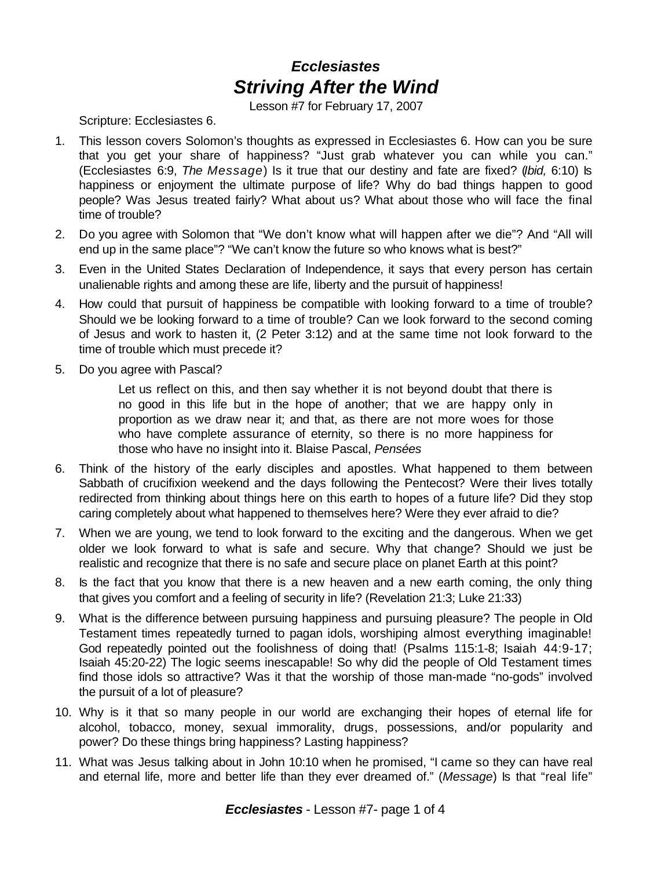## *Ecclesiastes Striving After the Wind*

Lesson #7 for February 17, 2007

Scripture: Ecclesiastes 6.

- 1. This lesson covers Solomon's thoughts as expressed in Ecclesiastes 6. How can you be sure that you get your share of happiness? "Just grab whatever you can while you can." (Ecclesiastes 6:9, *The Message*) Is it true that our destiny and fate are fixed? (*Ibid,* 6:10) Is happiness or enjoyment the ultimate purpose of life? Why do bad things happen to good people? Was Jesus treated fairly? What about us? What about those who will face the final time of trouble?
- 2. Do you agree with Solomon that "We don't know what will happen after we die"? And "All will end up in the same place"? "We can't know the future so who knows what is best?"
- 3. Even in the United States Declaration of Independence, it says that every person has certain unalienable rights and among these are life, liberty and the pursuit of happiness!
- 4. How could that pursuit of happiness be compatible with looking forward to a time of trouble? Should we be looking forward to a time of trouble? Can we look forward to the second coming of Jesus and work to hasten it, (2 Peter 3:12) and at the same time not look forward to the time of trouble which must precede it?
- 5. Do you agree with Pascal?

Let us reflect on this, and then say whether it is not beyond doubt that there is no good in this life but in the hope of another; that we are happy only in proportion as we draw near it; and that, as there are not more woes for those who have complete assurance of eternity, so there is no more happiness for those who have no insight into it. Blaise Pascal, *Pensées*

- 6. Think of the history of the early disciples and apostles. What happened to them between Sabbath of crucifixion weekend and the days following the Pentecost? Were their lives totally redirected from thinking about things here on this earth to hopes of a future life? Did they stop caring completely about what happened to themselves here? Were they ever afraid to die?
- 7. When we are young, we tend to look forward to the exciting and the dangerous. When we get older we look forward to what is safe and secure. Why that change? Should we just be realistic and recognize that there is no safe and secure place on planet Earth at this point?
- 8. Is the fact that you know that there is a new heaven and a new earth coming, the only thing that gives you comfort and a feeling of security in life? (Revelation 21:3; Luke 21:33)
- 9. What is the difference between pursuing happiness and pursuing pleasure? The people in Old Testament times repeatedly turned to pagan idols, worshiping almost everything imaginable! God repeatedly pointed out the foolishness of doing that! (Psalms 115:1-8; Isaiah 44:9-17; Isaiah 45:20-22) The logic seems inescapable! So why did the people of Old Testament times find those idols so attractive? Was it that the worship of those man-made "no-gods" involved the pursuit of a lot of pleasure?
- 10. Why is it that so many people in our world are exchanging their hopes of eternal life for alcohol, tobacco, money, sexual immorality, drugs, possessions, and/or popularity and power? Do these things bring happiness? Lasting happiness?
- 11. What was Jesus talking about in John 10:10 when he promised, "I came so they can have real and eternal life, more and better life than they ever dreamed of." (Message) Is that "real life"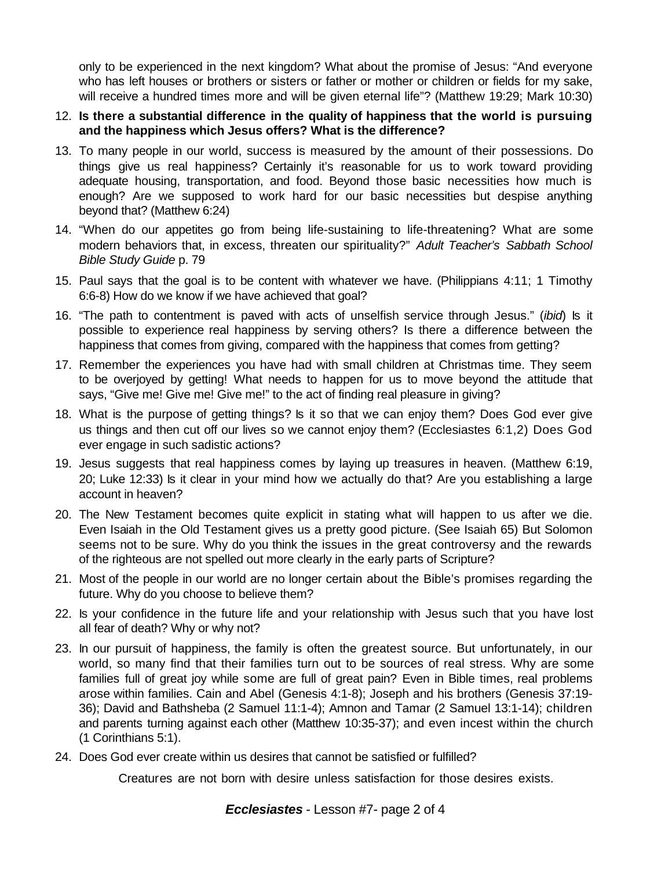only to be experienced in the next kingdom? What about the promise of Jesus: "And everyone who has left houses or brothers or sisters or father or mother or children or fields for my sake, will receive a hundred times more and will be given eternal life"? (Matthew 19:29; Mark 10:30)

- 12. **Is there a substantial difference in the quality of happiness that the world is pursuing and the happiness which Jesus offers? What is the difference?**
- 13. To many people in our world, success is measured by the amount of their possessions. Do things give us real happiness? Certainly it's reasonable for us to work toward providing adequate housing, transportation, and food. Beyond those basic necessities how much is enough? Are we supposed to work hard for our basic necessities but despise anything beyond that? (Matthew 6:24)
- 14. "When do our appetites go from being life-sustaining to life-threatening? What are some modern behaviors that, in excess, threaten our spirituality?" *Adult Teacher's Sabbath School Bible Study Guide* p. 79
- 15. Paul says that the goal is to be content with whatever we have. (Philippians 4:11; 1 Timothy 6:6-8) How do we know if we have achieved that goal?
- 16. "The path to contentment is paved with acts of unselfish service through Jesus." (*ibid*) Is it possible to experience real happiness by serving others? Is there a difference between the happiness that comes from giving, compared with the happiness that comes from getting?
- 17. Remember the experiences you have had with small children at Christmas time. They seem to be overjoyed by getting! What needs to happen for us to move beyond the attitude that says, "Give me! Give me! Give me!" to the act of finding real pleasure in giving?
- 18. What is the purpose of getting things? Is it so that we can enjoy them? Does God ever give us things and then cut off our lives so we cannot enjoy them? (Ecclesiastes 6:1,2) Does God ever engage in such sadistic actions?
- 19. Jesus suggests that real happiness comes by laying up treasures in heaven. (Matthew 6:19, 20; Luke 12:33) Is it clear in your mind how we actually do that? Are you establishing a large account in heaven?
- 20. The New Testament becomes quite explicit in stating what will happen to us after we die. Even Isaiah in the Old Testament gives us a pretty good picture. (See Isaiah 65) But Solomon seems not to be sure. Why do you think the issues in the great controversy and the rewards of the righteous are not spelled out more clearly in the early parts of Scripture?
- 21. Most of the people in our world are no longer certain about the Bible's promises regarding the future. Why do you choose to believe them?
- 22. Is your confidence in the future life and your relationship with Jesus such that you have lost all fear of death? Why or why not?
- 23. In our pursuit of happiness, the family is often the greatest source. But unfortunately, in our world, so many find that their families turn out to be sources of real stress. Why are some families full of great joy while some are full of great pain? Even in Bible times, real problems arose within families. Cain and Abel (Genesis 4:1-8); Joseph and his brothers (Genesis 37:19- 36); David and Bathsheba (2 Samuel 11:1-4); Amnon and Tamar (2 Samuel 13:1-14); children and parents turning against each other (Matthew 10:35-37); and even incest within the church (1 Corinthians 5:1).
- 24. Does God ever create within us desires that cannot be satisfied or fulfilled?

Creatures are not born with desire unless satisfaction for those desires exists.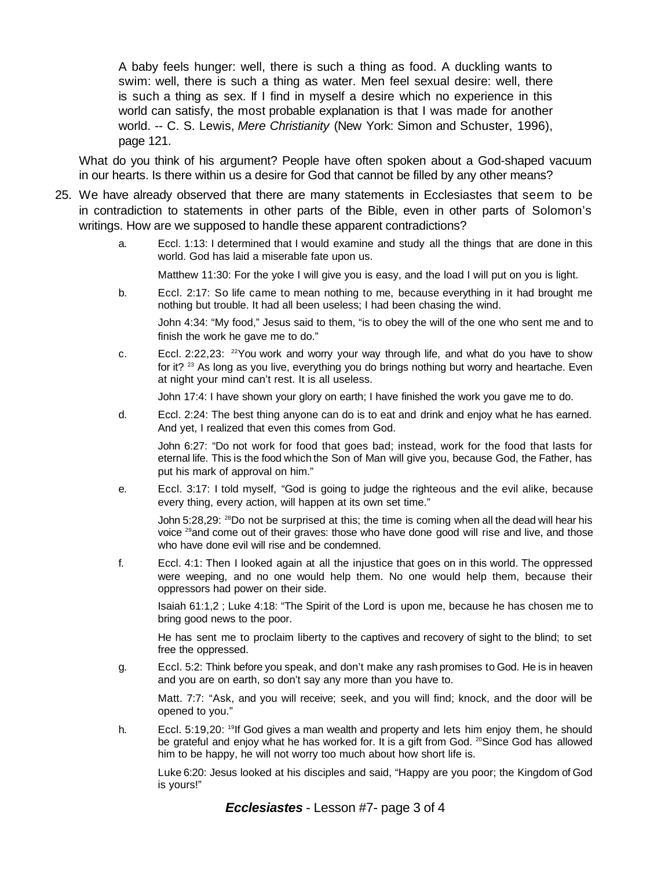A baby feels hunger: well, there is such a thing as food. A duckling wants to swim: well, there is such a thing as water. Men feel sexual desire: well, there is such a thing as sex. If I find in myself a desire which no experience in this world can satisfy, the most probable explanation is that I was made for another world. -- C. S. Lewis, *Mere Christianity* (New York: Simon and Schuster, 1996), page 121.

What do you think of his argument? People have often spoken about a God-shaped vacuum in our hearts. Is there within us a desire for God that cannot be filled by any other means?

- 25. We have already observed that there are many statements in Ecclesiastes that seem to be in contradiction to statements in other parts of the Bible, even in other parts of Solomon's writings. How are we supposed to handle these apparent contradictions?
	- a. Eccl. 1:13: I determined that I would examine and study all the things that are done in this world. God has laid a miserable fate upon us.

Matthew 11:30: For the yoke I will give you is easy, and the load I will put on you is light.

b. Eccl. 2:17: So life came to mean nothing to me, because everything in it had brought me nothing but trouble. It had all been useless; I had been chasing the wind.

John 4:34: "My food," Jesus said to them, "is to obey the will of the one who sent me and to finish the work he gave me to do."

c. Eccl. 2:22,23:  $2^{2}$ You work and worry your way through life, and what do you have to show for it? <sup>23</sup> As long as you live, everything you do brings nothing but worry and heartache. Even at night your mind can't rest. It is all useless.

John 17:4: I have shown your glory on earth; I have finished the work you gave me to do.

d. Eccl. 2:24: The best thing anyone can do is to eat and drink and enjoy what he has earned. And yet, I realized that even this comes from God.

John 6:27: "Do not work for food that goes bad; instead, work for the food that lasts for eternal life. This is the food which the Son of Man will give you, because God, the Father, has put his mark of approval on him."

e. Eccl. 3:17: I told myself, "God is going to judge the righteous and the evil alike, because every thing, every action, will happen at its own set time."

John 5:28,29: <sup>28</sup>Do not be surprised at this; the time is coming when all the dead will hear his voice <sup>29</sup>and come out of their graves: those who have done good will rise and live, and those who have done evil will rise and be condemned.

f. Eccl. 4:1: Then I looked again at all the injustice that goes on in this world. The oppressed were weeping, and no one would help them. No one would help them, because their oppressors had power on their side.

Isaiah 61:1,2 ; Luke 4:18: "The Spirit of the Lord is upon me, because he has chosen me to bring good news to the poor.

He has sent me to proclaim liberty to the captives and recovery of sight to the blind; to set free the oppressed.

g. Eccl. 5:2: Think before you speak, and don't make any rash promises to God. He is in heaven and you are on earth, so don't say any more than you have to.

Matt. 7:7: "Ask, and you will receive; seek, and you will find; knock, and the door will be opened to you."

h. Eccl. 5:19,20: <sup>19</sup>If God gives a man wealth and property and lets him enjoy them, he should be grateful and enjoy what he has worked for. It is a gift from God. <sup>20</sup>Since God has allowed him to be happy, he will not worry too much about how short life is.

Luke 6:20: Jesus looked at his disciples and said, "Happy are you poor; the Kingdom of God is yours!"